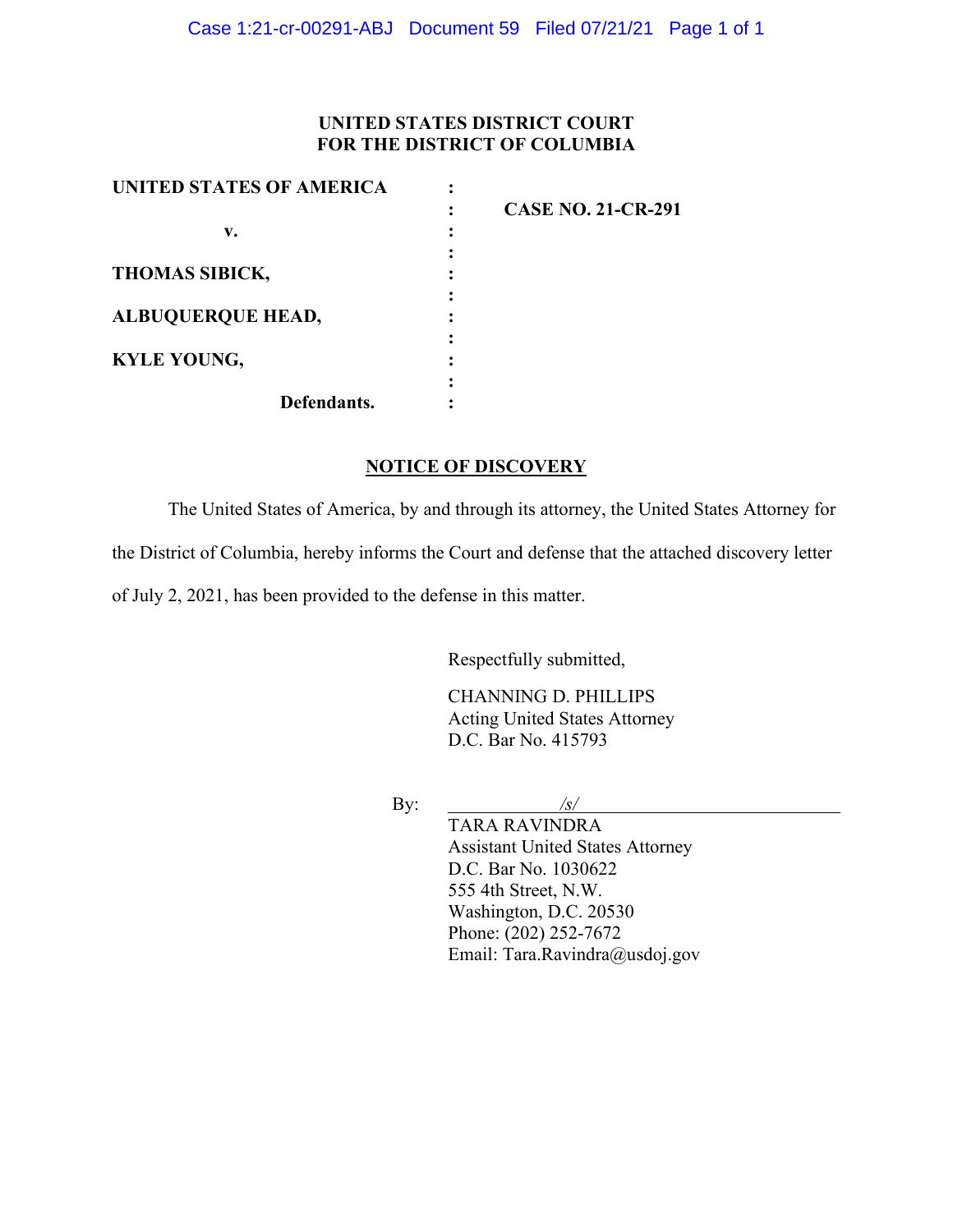## **UNITED STATES DISTRICT COURT FOR THE DISTRICT OF COLUMBIA**

| UNITED STATES OF AMERICA |                           |
|--------------------------|---------------------------|
|                          | <b>CASE NO. 21-CR-291</b> |
| v.                       |                           |
|                          |                           |
| <b>THOMAS SIBICK,</b>    |                           |
|                          |                           |
| <b>ALBUQUERQUE HEAD,</b> |                           |
|                          |                           |
| <b>KYLE YOUNG,</b>       |                           |
|                          |                           |
| Defendants.              |                           |

## **NOTICE OF DISCOVERY**

The United States of America, by and through its attorney, the United States Attorney for the District of Columbia, hereby informs the Court and defense that the attached discovery letter of July 2, 2021, has been provided to the defense in this matter.

Respectfully submitted,

CHANNING D. PHILLIPS Acting United States Attorney D.C. Bar No. 415793

By: */s/*

TARA RAVINDRA Assistant United States Attorney D.C. Bar No. 1030622 555 4th Street, N.W. Washington, D.C. 20530 Phone: (202) 252-7672 Email: Tara.Ravindra@usdoj.gov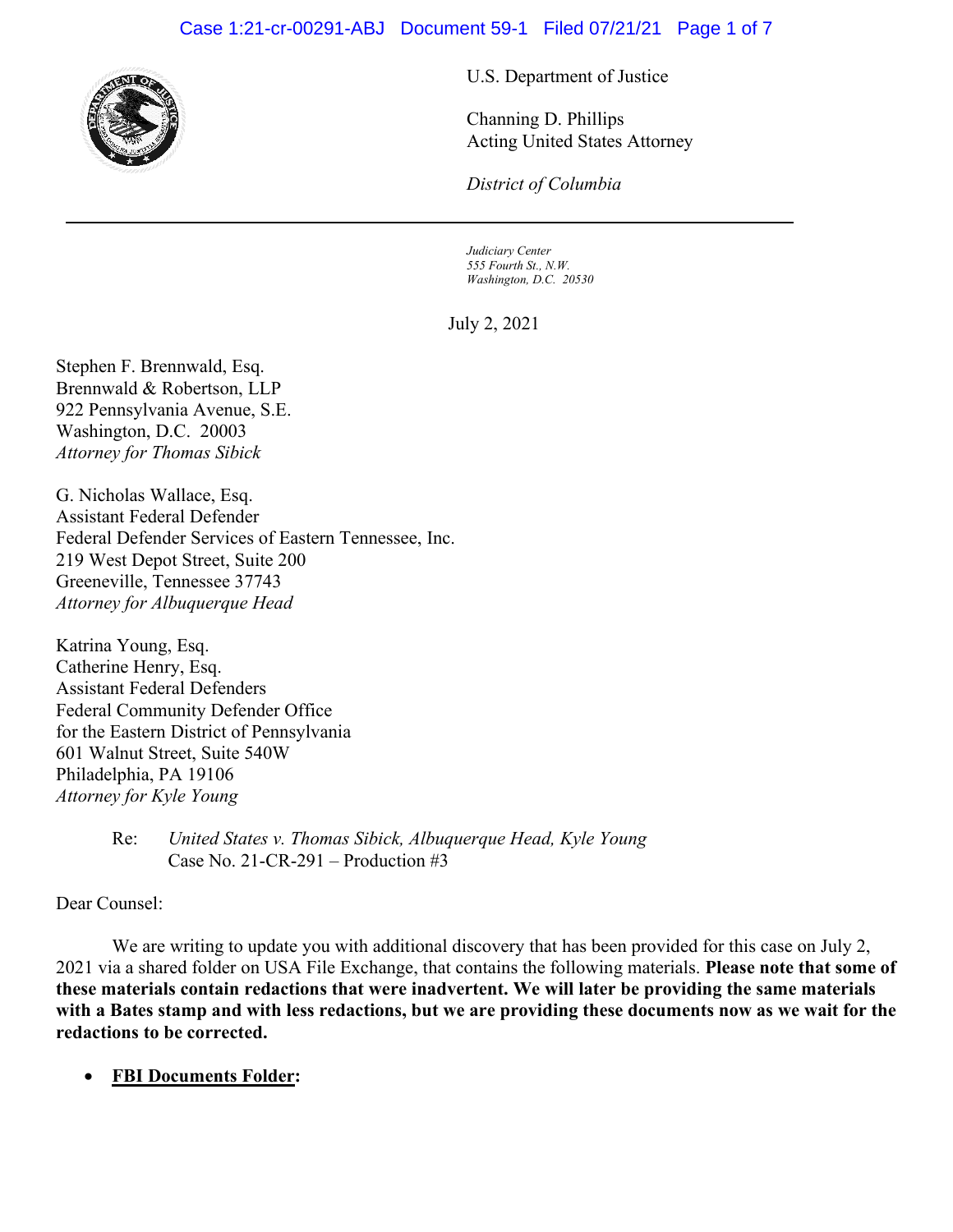## Case 1:21-cr-00291-ABJ Document 59-1 Filed 07/21/21 Page 1 of 7



U.S. Department of Justice

Channing D. Phillips Acting United States Attorney

*District of Columbia*

*Judiciary Center 555 Fourth St., N.W. Washington, D.C. 20530*

July 2, 2021

Stephen F. Brennwald, Esq. Brennwald & Robertson, LLP 922 Pennsylvania Avenue, S.E. Washington, D.C. 20003 *Attorney for Thomas Sibick* 

G. Nicholas Wallace, Esq. Assistant Federal Defender Federal Defender Services of Eastern Tennessee, Inc. 219 West Depot Street, Suite 200 Greeneville, Tennessee 37743 *Attorney for Albuquerque Head*

Katrina Young, Esq. Catherine Henry, Esq. Assistant Federal Defenders Federal Community Defender Office for the Eastern District of Pennsylvania 601 Walnut Street, Suite 540W Philadelphia, PA 19106 *Attorney for Kyle Young* 

Dear Counsel:

We are writing to update you with additional discovery that has been provided for this case on July 2, 2021 via a shared folder on USA File Exchange, that contains the following materials. **Please note that some of these materials contain redactions that were inadvertent. We will later be providing the same materials with a Bates stamp and with less redactions, but we are providing these documents now as we wait for the redactions to be corrected.**

• **FBI Documents Folder:**

Re: *United States v. Thomas Sibick, Albuquerque Head, Kyle Young*  Case No. 21-CR-291 – Production #3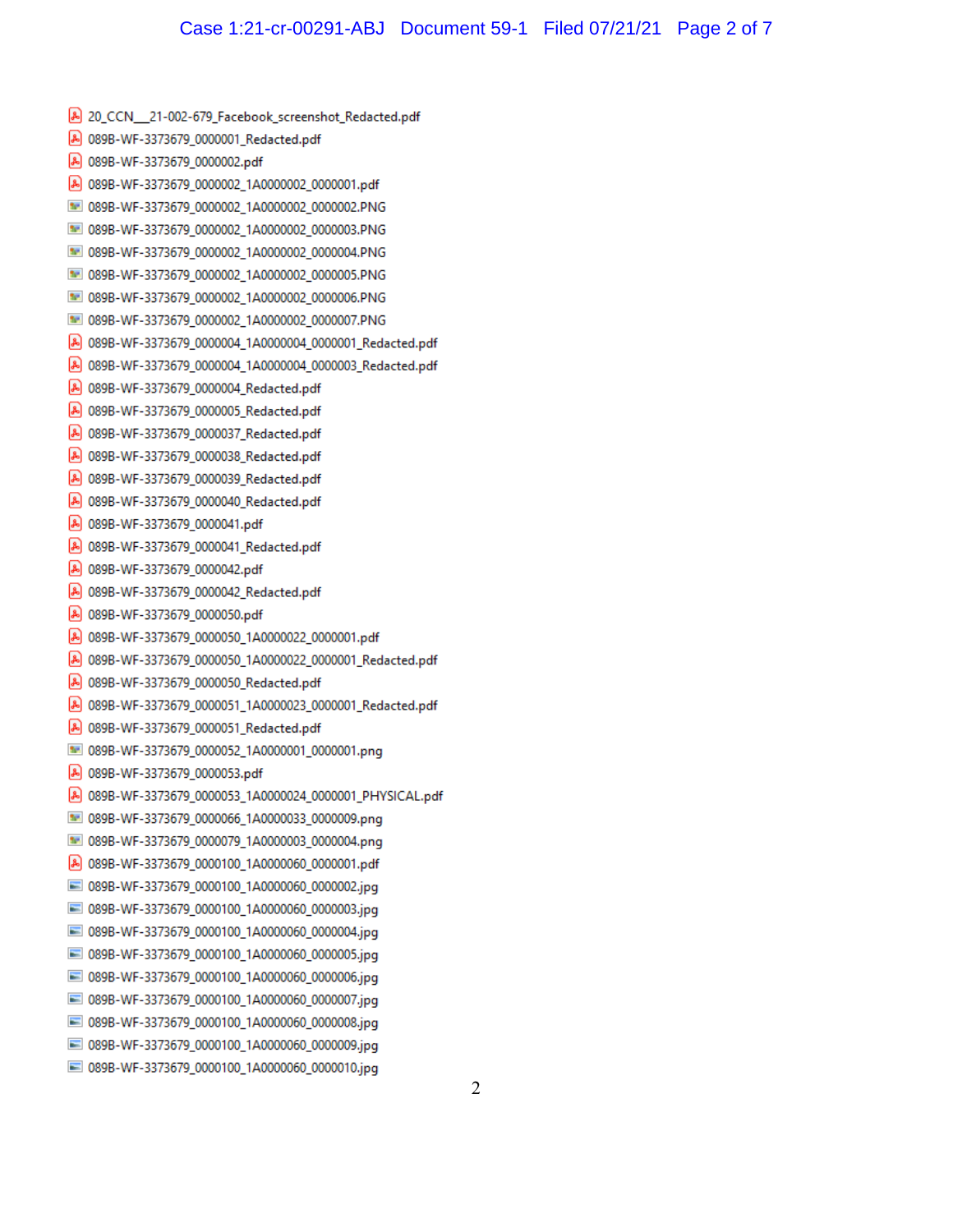A 20 CCN 21-002-679 Facebook screenshot Redacted.pdf A 089B-WF-3373679 0000001 Redacted.pdf A 089B-WF-3373679\_0000002.pdf A 089B-WF-3373679\_0000002\_1A0000002\_0000001.pdf 89B-WF-3373679\_0000002\_1A0000002\_0000002.PNG 33 089B-WF-3373679\_0000002\_1A0000002\_0000003.PNG 889B-WF-3373679 0000002 1A0000002 0000004.PNG 33 089B-WF-3373679\_0000002\_1A0000002\_0000005.PNG 889B-WF-3373679\_0000002\_1A0000002\_0000006.PNG MI 089B-WF-3373679 0000002 1A0000002 0000007.PNG A 089B-WF-3373679\_0000004\_1A0000004\_0000001\_Redacted.pdf A 089B-WF-3373679\_0000004\_1A0000004\_0000003\_Redacted.pdf A 089B-WF-3373679\_0000004\_Redacted.pdf A 089B-WF-3373679 0000005 Redacted.pdf A 089B-WF-3373679\_0000037\_Redacted.pdf A 089B-WF-3373679\_0000038\_Redacted.pdf A 089B-WF-3373679\_0000039\_Redacted.pdf [A] 089B-WF-3373679\_0000040\_Redacted.pdf A 089B-WF-3373679 0000041.pdf A 089B-WF-3373679\_0000041\_Redacted.pdf A 089B-WF-3373679\_0000042.pdf A 089B-WF-3373679\_0000042\_Redacted.pdf A 089B-WF-3373679\_0000050.pdf A 089B-WF-3373679\_0000050\_1A0000022\_0000001.pdf A 089B-WF-3373679\_0000050\_1A0000022\_0000001\_Redacted.pdf A 089B-WF-3373679 0000050 Redacted.pdf A 089B-WF-3373679\_0000051\_1A0000023\_0000001\_Redacted.pdf A 089B-WF-3373679\_0000051\_Redacted.pdf 89B-WF-3373679\_0000052\_1A0000001\_0000001.png A 089B-WF-3373679 0000053.pdf A 089B-WF-3373679\_0000053\_1A0000024\_0000001\_PHYSICAL.pdf 5 089B-WF-3373679\_0000066\_1A0000033\_0000009.png 889B-WF-3373679\_0000079\_1A0000003\_0000004.png A 089B-WF-3373679\_0000100\_1A0000060\_0000001.pdf 089B-WF-3373679\_0000100\_1A0000060\_0000002.jpg 089B-WF-3373679 0000100 1A0000060 0000003.jpg 089B-WF-3373679\_0000100\_1A0000060\_0000004.jpg 089B-WF-3373679 0000100 1A0000060 0000005.jpg 089B-WF-3373679\_0000100\_1A0000060\_0000006.jpg 089B-WF-3373679\_0000100\_1A0000060\_0000007.jpg 089B-WF-3373679 0000100 1A0000060 0000008.jpg 089B-WF-3373679\_0000100\_1A0000060\_0000009.jpg 089B-WF-3373679 0000100 1A0000060 0000010.jpg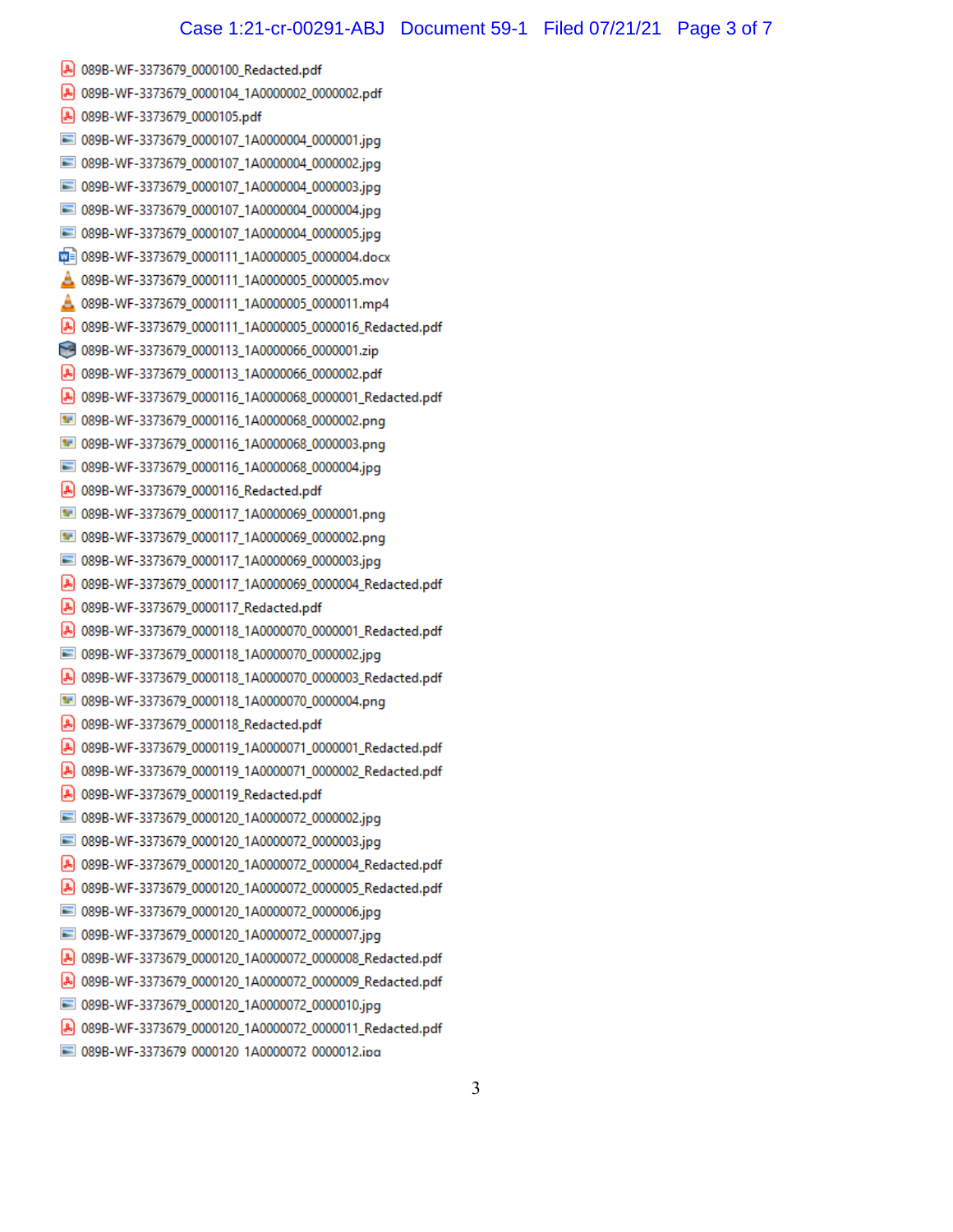A 089B-WF-3373679 0000100 Redacted.pdf A 089B-WF-3373679 0000104 1A0000002 0000002.pdf A 089B-WF-3373679 0000105.pdf 3773679 0000107 1A0000004 0000001.jpg 3773679 0000107 1A0000004 089B-WF-3373679\_0000107\_1A0000004\_0000002.jpg 089B-WF-3373679\_0000107\_1A0000004\_0000003.jpg 089B-WF-3373679 0000107 1A0000004 0000004.jpg 089B-WF-3373679\_0000107\_1A0000004\_0000005.jpg md= 089B-WF-3373679\_0000111\_1A0000005\_0000004.docx △ 089B-WF-3373679\_0000111\_1A0000005\_0000005.mov A 089B-WF-3373679\_0000111\_1A0000005\_0000011.mp4 A 089B-WF-3373679\_0000111\_1A0000005\_0000016\_Redacted.pdf 089B-WF-3373679\_0000113\_1A0000066\_0000001.zip A 089B-WF-3373679\_0000113\_1A0000066\_0000002.pdf A 089B-WF-3373679 0000116 1A0000068 0000001 Redacted.pdf 33 089B-WF-3373679 0000116 1A0000068 0000002.png 89B-WF-3373679 0000116 1A0000068 0000003.png 089B-WF-3373679 0000116 1A0000068 0000004.jpg A 089B-WF-3373679 0000116 Redacted.pdf 1089B-WF-3373679 0000117 1A0000069 0000001.png 889B-WF-3373679 0000117 1A0000069 0000002.png 3373679 0000117 1A0000069 0000003.jpg 389B-WF-3373679 0000117 1A0000069 0000003.jpg A 089B-WF-3373679\_0000117\_1A0000069\_0000004\_Redacted.pdf A 089B-WF-3373679\_0000117\_Redacted.pdf A 089B-WF-3373679\_0000118\_1A0000070\_0000001\_Redacted.pdf 089B-WF-3373679\_0000118\_1A0000070\_0000002.jpg A 089B-WF-3373679\_0000118\_1A0000070\_0000003\_Redacted.pdf 089B-WF-3373679\_0000118\_1A0000070\_0000004.png A 089B-WF-3373679\_0000118\_Redacted.pdf A 089B-WF-3373679 0000119 1A0000071 0000001 Redacted.pdf A 089B-WF-3373679\_0000119\_1A0000071\_0000002\_Redacted.pdf A 089B-WF-3373679\_0000119\_Redacted.pdf 3773679\_0000120\_1A0000072\_000002.jpg 389B-WF-3373679\_0000120\_1A0000072\_0000002.jpg 089B-WF-3373679\_0000120\_1A0000072\_0000003.jpg A 089B-WF-3373679\_0000120\_1A0000072\_0000004\_Redacted.pdf A 089B-WF-3373679\_0000120\_1A0000072\_0000005\_Redacted.pdf 089B-WF-3373679\_0000120\_1A0000072\_0000006.jpg 089B-WF-3373679\_0000120\_1A0000072\_0000007.jpg A 089B-WF-3373679\_0000120\_1A0000072\_0000008\_Redacted.pdf A 089B-WF-3373679 0000120 1A0000072 0000009 Redacted.pdf 089B-WF-3373679 0000120 1A0000072 0000010.jpg A 089B-WF-3373679\_0000120\_1A0000072\_0000011\_Redacted.pdf 373679 0000120 1A0000072 0000012.ipg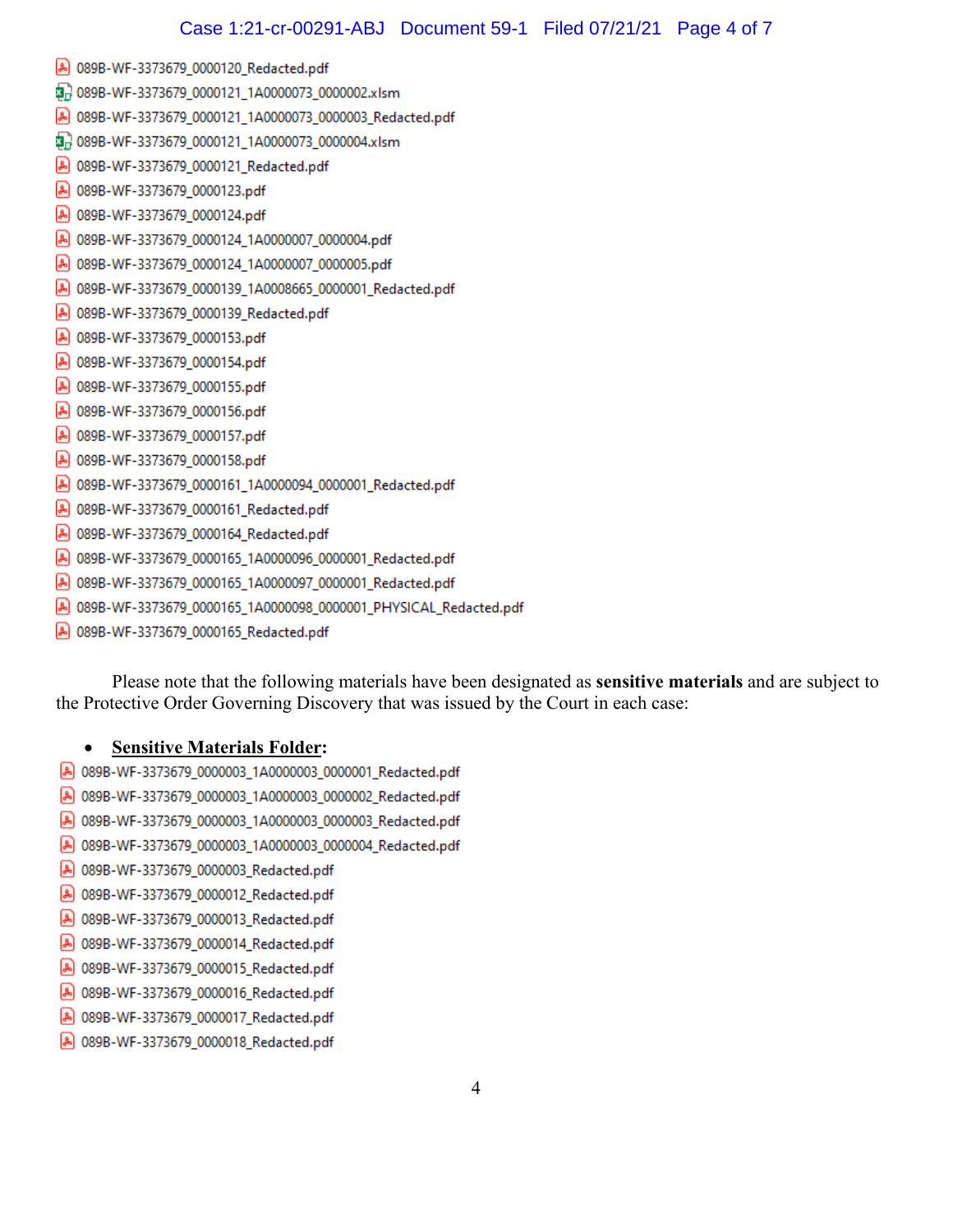- A 089B-WF-3373679\_0000120\_Redacted.pdf
- 朝 089B-WF-3373679\_0000121\_1A0000073\_0000002.xlsm
- A 089B-WF-3373679\_0000121\_1A0000073\_0000003\_Redacted.pdf
- 朝 089B-WF-3373679\_0000121\_1A0000073\_0000004.xlsm
- A 089B-WF-3373679\_0000121\_Redacted.pdf
- A 089B-WF-3373679\_0000123.pdf
- A 089B-WF-3373679\_0000124.pdf
- A 089B-WF-3373679\_0000124\_1A0000007\_0000004.pdf
- A 089B-WF-3373679\_0000124\_1A0000007\_0000005.pdf
- A 089B-WF-3373679\_0000139\_1A0008665\_0000001\_Redacted.pdf
- A 089B-WF-3373679\_0000139\_Redacted.pdf
- A 089B-WF-3373679\_0000153.pdf
- A 089B-WF-3373679\_0000154.pdf
- A 089B-WF-3373679\_0000155.pdf
- A 089B-WF-3373679\_0000156.pdf
- A 089B-WF-3373679\_0000157.pdf
- A 089B-WF-3373679\_0000158.pdf
- A 089B-WF-3373679\_0000161\_1A0000094\_0000001\_Redacted.pdf
- A 089B-WF-3373679\_0000161\_Redacted.pdf
- A 089B-WF-3373679\_0000164\_Redacted.pdf
- A 089B-WF-3373679\_0000165\_1A0000096\_0000001\_Redacted.pdf
- A 089B-WF-3373679\_0000165\_1A0000097\_0000001\_Redacted.pdf
- A 089B-WF-3373679\_0000165\_1A0000098\_0000001\_PHYSICAL\_Redacted.pdf
- A 089B-WF-3373679\_0000165\_Redacted.pdf

Please note that the following materials have been designated as **sensitive materials** and are subject to the Protective Order Governing Discovery that was issued by the Court in each case:

## **Sensitive Materials Folder:**  $\bullet$

- A 089B-WF-3373679\_0000003\_1A0000003\_0000001\_Redacted.pdf
- A 089B-WF-3373679\_0000003\_1A0000003\_0000002\_Redacted.pdf
- A 089B-WF-3373679\_0000003\_1A0000003\_0000003\_Redacted.pdf
- A 089B-WF-3373679\_0000003\_1A0000003\_0000004\_Redacted.pdf
- 80 089B-WF-3373679\_0000003\_Redacted.pdf
- 80 089B-WF-3373679\_0000012\_Redacted.pdf
- 80 089B-WF-3373679\_0000013\_Redacted.pdf
- 80 089B-WF-3373679\_0000014\_Redacted.pdf
- 80 089B-WF-3373679\_0000015\_Redacted.pdf
- A 089B-WF-3373679\_0000016\_Redacted.pdf
- A 089B-WF-3373679\_0000017\_Redacted.pdf
- 8 089B-WF-3373679\_0000018\_Redacted.pdf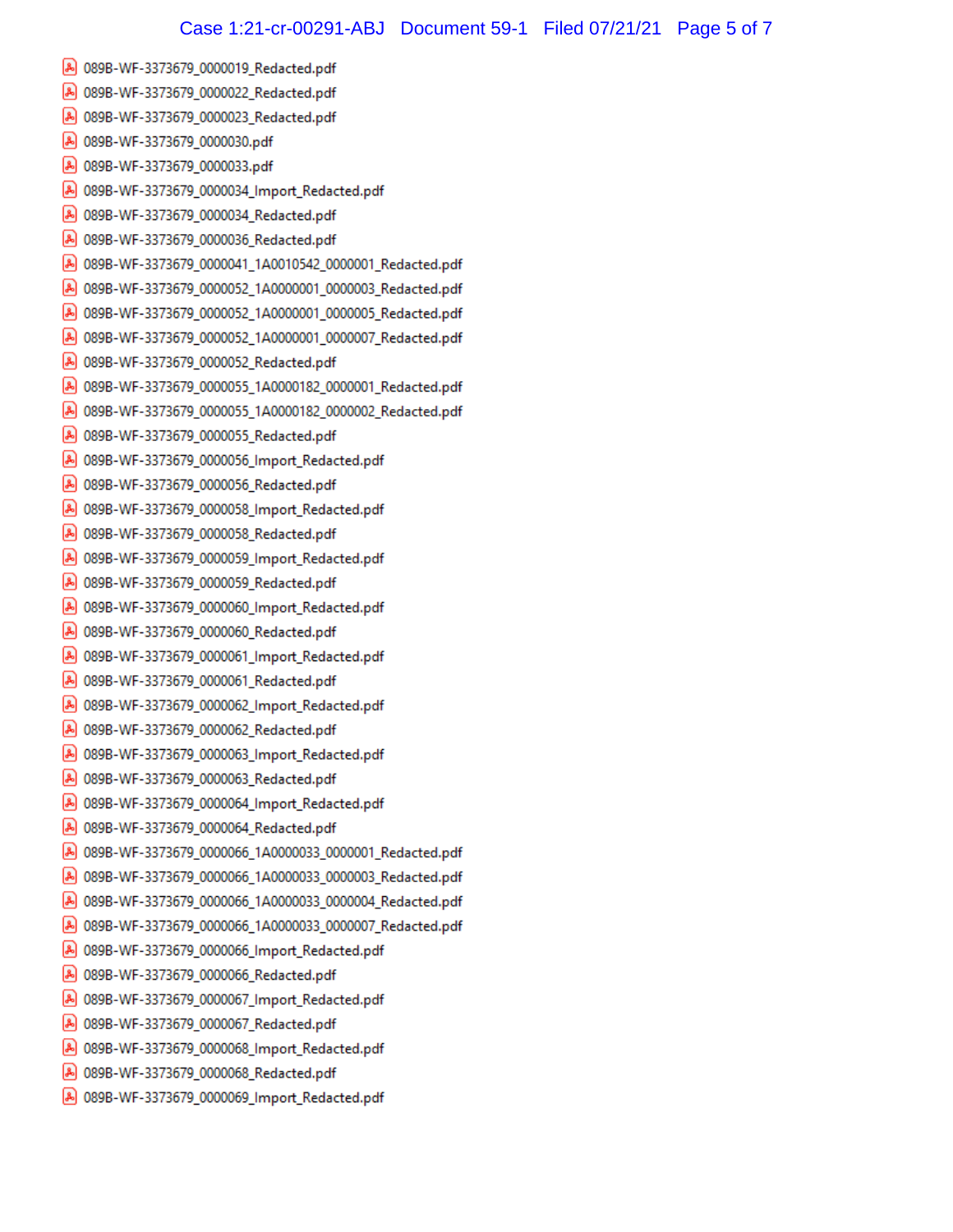- A 089B-WF-3373679\_0000019\_Redacted.pdf
- A 089B-WF-3373679\_0000022\_Redacted.pdf
- 8 089B-WF-3373679\_0000023\_Redacted.pdf
- A 089B-WF-3373679\_0000030.pdf
- A 089B-WF-3373679\_0000033.pdf
- A 089B-WF-3373679\_0000034\_Import\_Redacted.pdf
- A 089B-WF-3373679\_0000034\_Redacted.pdf
- A 089B-WF-3373679\_0000036\_Redacted.pdf
- A 089B-WF-3373679\_0000041\_1A0010542\_0000001\_Redacted.pdf
- A 089B-WF-3373679\_0000052\_1A0000001\_0000003\_Redacted.pdf
- A 089B-WF-3373679\_0000052\_1A0000001\_0000005\_Redacted.pdf
- A 089B-WF-3373679\_0000052\_1A0000001\_0000007\_Redacted.pdf
- A 089B-WF-3373679\_0000052\_Redacted.pdf
- A 089B-WF-3373679\_0000055\_1A0000182\_0000001\_Redacted.pdf
- A 089B-WF-3373679\_0000055\_1A0000182\_0000002\_Redacted.pdf
- A 089B-WF-3373679\_0000055\_Redacted.pdf
- A 089B-WF-3373679\_0000056\_Import\_Redacted.pdf
- 8 089B-WF-3373679\_0000056\_Redacted.pdf
- A 089B-WF-3373679\_0000058\_Import\_Redacted.pdf
- A 089B-WF-3373679\_0000058\_Redacted.pdf
- A 089B-WF-3373679\_0000059\_Import\_Redacted.pdf
- A 089B-WF-3373679\_0000059\_Redacted.pdf
- A 089B-WF-3373679\_0000060\_Import\_Redacted.pdf
- A 089B-WF-3373679\_0000060\_Redacted.pdf
- 80 089B-WF-3373679\_0000061\_Import\_Redacted.pdf
- A 089B-WF-3373679\_0000061\_Redacted.pdf
- A 089B-WF-3373679\_0000062\_Import\_Redacted.pdf
- A 089B-WF-3373679\_0000062\_Redacted.pdf
- A 089B-WF-3373679\_0000063\_Import\_Redacted.pdf
- A 089B-WF-3373679\_0000063\_Redacted.pdf
- A 089B-WF-3373679\_0000064\_Import\_Redacted.pdf
- A 089B-WF-3373679\_0000064\_Redacted.pdf
- A 089B-WF-3373679\_0000066\_1A0000033\_0000001\_Redacted.pdf
- A 089B-WF-3373679\_0000066\_1A0000033\_0000003\_Redacted.pdf
- A 089B-WF-3373679\_0000066\_1A0000033\_0000004\_Redacted.pdf
- A 089B-WF-3373679\_0000066\_1A0000033\_0000007\_Redacted.pdf
- A 089B-WF-3373679\_0000066\_Import\_Redacted.pdf
- A 089B-WF-3373679\_0000066\_Redacted.pdf
- A 089B-WF-3373679\_0000067\_Import\_Redacted.pdf
- 8 089B-WF-3373679\_0000067\_Redacted.pdf
- A 089B-WF-3373679\_0000068\_Import\_Redacted.pdf
- A 089B-WF-3373679\_0000068\_Redacted.pdf
- A 089B-WF-3373679\_0000069\_Import\_Redacted.pdf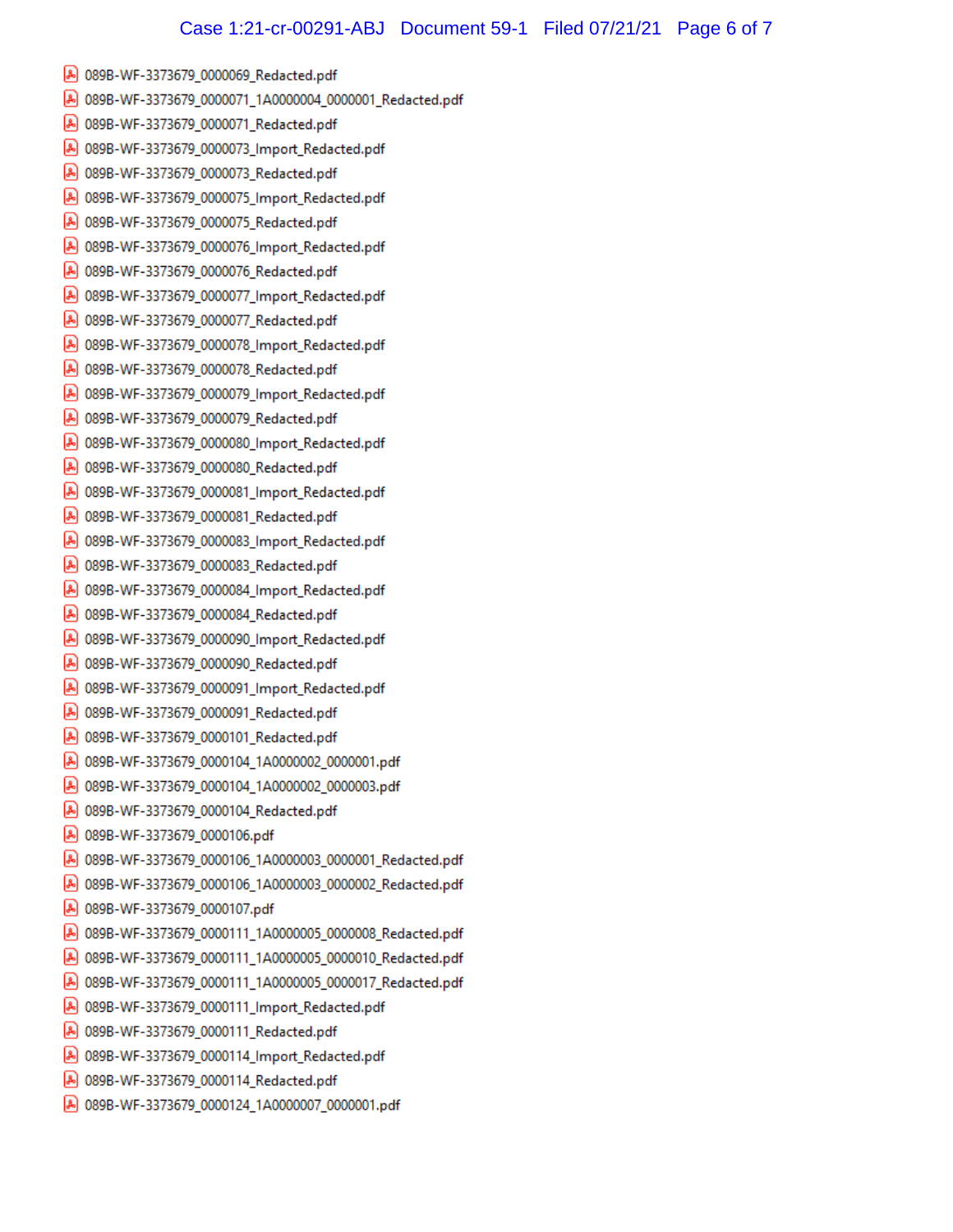- A 089B-WF-3373679\_0000069\_Redacted.pdf
- A 089B-WF-3373679\_0000071\_1A0000004\_0000001\_Redacted.pdf
- A 089B-WF-3373679\_0000071\_Redacted.pdf
- A 089B-WF-3373679\_0000073\_Import\_Redacted.pdf
- A 089B-WF-3373679\_0000073\_Redacted.pdf
- A 089B-WF-3373679\_0000075\_Import\_Redacted.pdf
- A 089B-WF-3373679\_0000075\_Redacted.pdf
- A 089B-WF-3373679\_0000076\_Import\_Redacted.pdf
- 80 089B-WF-3373679\_0000076\_Redacted.pdf
- A 089B-WF-3373679\_0000077\_Import\_Redacted.pdf
- A 089B-WF-3373679\_0000077\_Redacted.pdf
- A 089B-WF-3373679\_0000078\_Import\_Redacted.pdf
- A 089B-WF-3373679\_0000078\_Redacted.pdf
- A 089B-WF-3373679\_0000079\_Import\_Redacted.pdf
- A 089B-WF-3373679\_0000079\_Redacted.pdf
- A 089B-WF-3373679\_0000080\_Import\_Redacted.pdf
- A 089B-WF-3373679\_0000080\_Redacted.pdf
- A 089B-WF-3373679\_0000081\_Import\_Redacted.pdf
- A 089B-WF-3373679\_0000081\_Redacted.pdf
- A 089B-WF-3373679\_0000083\_Import\_Redacted.pdf
- A 089B-WF-3373679\_0000083\_Redacted.pdf
- A 089B-WF-3373679\_0000084\_Import\_Redacted.pdf
- A 089B-WF-3373679\_0000084\_Redacted.pdf
- A 089B-WF-3373679\_0000090\_Import\_Redacted.pdf
- A 089B-WF-3373679\_0000090\_Redacted.pdf
- A 089B-WF-3373679\_0000091\_Import\_Redacted.pdf
- A 089B-WF-3373679\_0000091\_Redacted.pdf
- A 089B-WF-3373679\_0000101\_Redacted.pdf
- A 089B-WF-3373679\_0000104\_1A0000002\_0000001.pdf
- A 089B-WF-3373679\_0000104\_1A0000002\_0000003.pdf
- A 089B-WF-3373679\_0000104\_Redacted.pdf
- A 089B-WF-3373679\_0000106.pdf
- A 089B-WF-3373679\_0000106\_1A0000003\_0000001\_Redacted.pdf
- A 089B-WF-3373679\_0000106\_1A0000003\_0000002\_Redacted.pdf
- A 089B-WF-3373679\_0000107.pdf
- A 089B-WF-3373679\_0000111\_1A0000005\_0000008\_Redacted.pdf
- A 089B-WF-3373679\_0000111\_1A0000005\_0000010\_Redacted.pdf
- 089B-WF-3373679\_0000111\_1A0000005\_0000017\_Redacted.pdf
- 80 089B-WF-3373679\_0000111\_Import\_Redacted.pdf
- A 089B-WF-3373679\_0000111\_Redacted.pdf
- A 089B-WF-3373679\_0000114\_Import\_Redacted.pdf
- A 089B-WF-3373679\_0000114\_Redacted.pdf
- A 089B-WF-3373679\_0000124\_1A0000007\_0000001.pdf